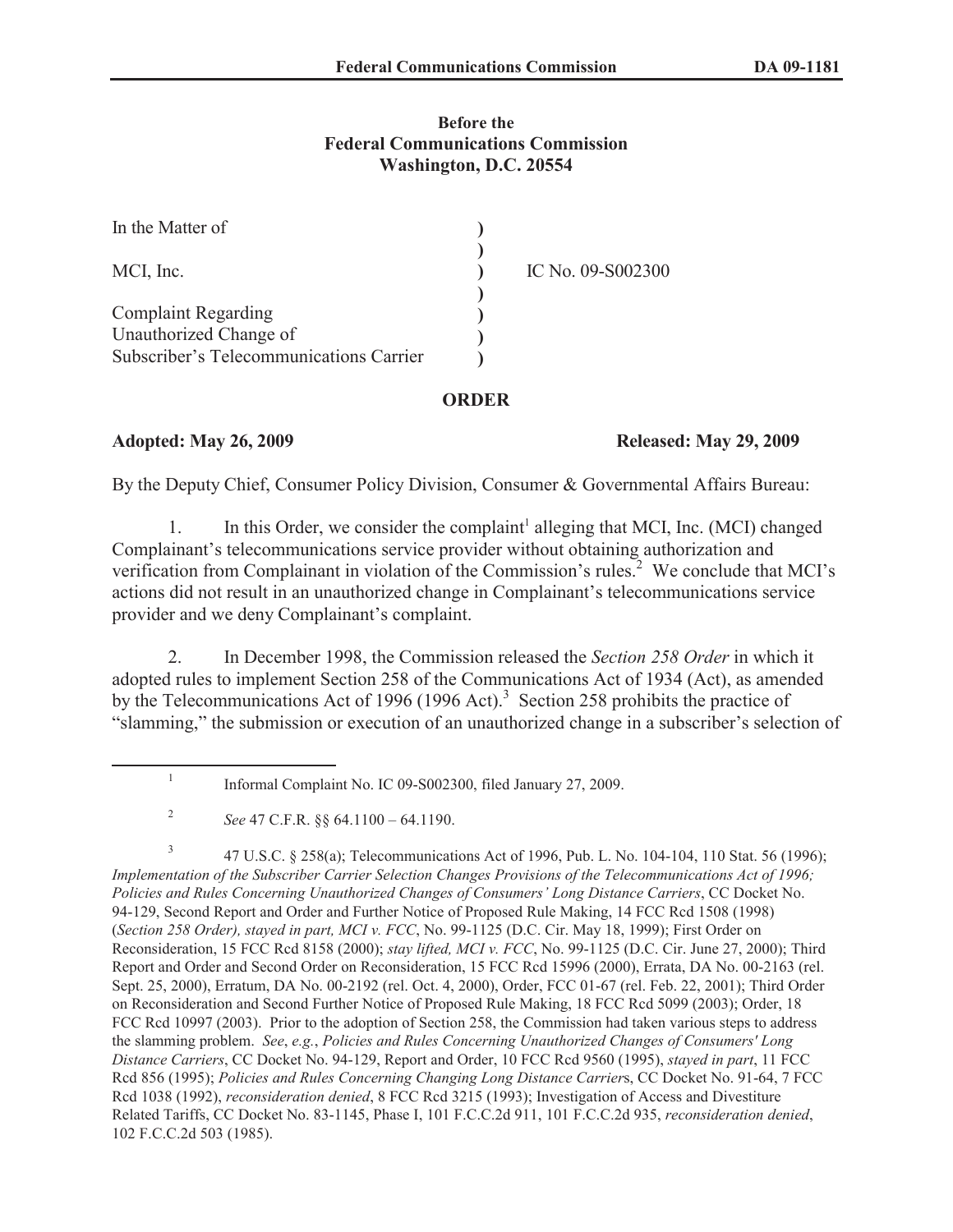## **Before the Federal Communications Commission Washington, D.C. 20554**

| In the Matter of                        |                   |
|-----------------------------------------|-------------------|
| MCI, Inc.                               | IC No. 09-S002300 |
| <b>Complaint Regarding</b>              |                   |
| Unauthorized Change of                  |                   |
| Subscriber's Telecommunications Carrier |                   |

### **ORDER**

## **Adopted: May 26, 2009 Released: May 29, 2009**

By the Deputy Chief, Consumer Policy Division, Consumer & Governmental Affairs Bureau:

1. In this Order, we consider the complaint<sup>1</sup> alleging that MCI, Inc. (MCI) changed Complainant's telecommunications service provider without obtaining authorization and verification from Complainant in violation of the Commission's rules.<sup>2</sup> We conclude that MCI's actions did not result in an unauthorized change in Complainant's telecommunications service provider and we deny Complainant's complaint.

2. In December 1998, the Commission released the *Section 258 Order* in which it adopted rules to implement Section 258 of the Communications Act of 1934 (Act), as amended by the Telecommunications Act of 1996 (1996 Act).<sup>3</sup> Section 258 prohibits the practice of "slamming," the submission or execution of an unauthorized change in a subscriber's selection of

3 47 U.S.C. § 258(a); Telecommunications Act of 1996, Pub. L. No. 104-104, 110 Stat. 56 (1996); *Implementation of the Subscriber Carrier Selection Changes Provisions of the Telecommunications Act of 1996; Policies and Rules Concerning Unauthorized Changes of Consumers' Long Distance Carriers*, CC Docket No. 94-129, Second Report and Order and Further Notice of Proposed Rule Making, 14 FCC Rcd 1508 (1998) (*Section 258 Order), stayed in part, MCI v. FCC*, No. 99-1125 (D.C. Cir. May 18, 1999); First Order on Reconsideration, 15 FCC Rcd 8158 (2000); *stay lifted, MCI v. FCC*, No. 99-1125 (D.C. Cir. June 27, 2000); Third Report and Order and Second Order on Reconsideration, 15 FCC Rcd 15996 (2000), Errata, DA No. 00-2163 (rel. Sept. 25, 2000), Erratum, DA No. 00-2192 (rel. Oct. 4, 2000), Order, FCC 01-67 (rel. Feb. 22, 2001); Third Order on Reconsideration and Second Further Notice of Proposed Rule Making, 18 FCC Rcd 5099 (2003); Order, 18 FCC Rcd 10997 (2003). Prior to the adoption of Section 258, the Commission had taken various steps to address the slamming problem. *See*, *e.g.*, *Policies and Rules Concerning Unauthorized Changes of Consumers' Long Distance Carriers*, CC Docket No. 94-129, Report and Order, 10 FCC Rcd 9560 (1995), *stayed in part*, 11 FCC Rcd 856 (1995); *Policies and Rules Concerning Changing Long Distance Carrier*s, CC Docket No. 91-64, 7 FCC Rcd 1038 (1992), *reconsideration denied*, 8 FCC Rcd 3215 (1993); Investigation of Access and Divestiture Related Tariffs, CC Docket No. 83-1145, Phase I, 101 F.C.C.2d 911, 101 F.C.C.2d 935, *reconsideration denied*, 102 F.C.C.2d 503 (1985).

<sup>1</sup> Informal Complaint No. IC 09-S002300, filed January 27, 2009.

<sup>2</sup> *See* 47 C.F.R. §§ 64.1100 – 64.1190.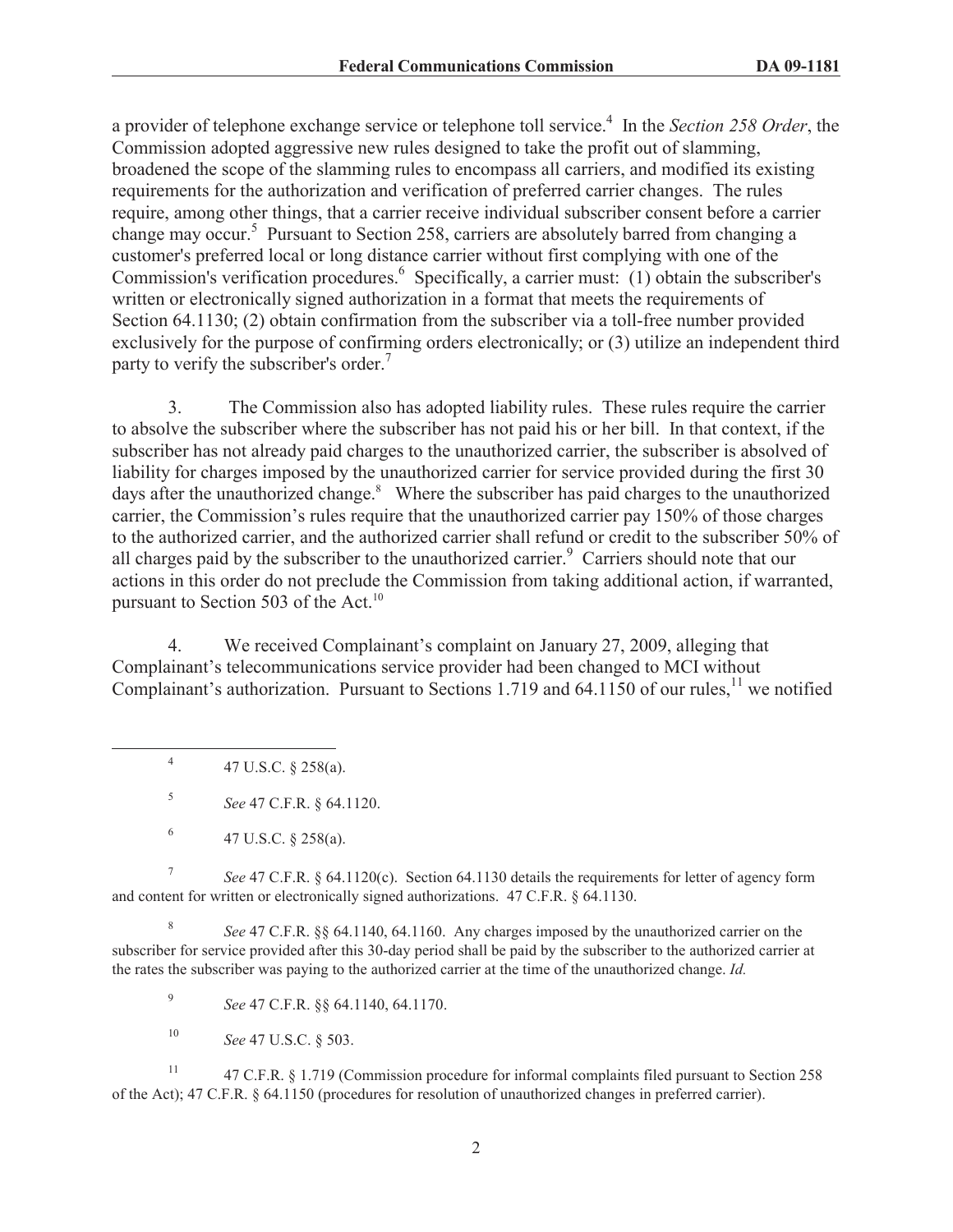a provider of telephone exchange service or telephone toll service.<sup>4</sup> In the *Section 258 Order*, the Commission adopted aggressive new rules designed to take the profit out of slamming, broadened the scope of the slamming rules to encompass all carriers, and modified its existing requirements for the authorization and verification of preferred carrier changes. The rules require, among other things, that a carrier receive individual subscriber consent before a carrier change may occur.<sup>5</sup> Pursuant to Section 258, carriers are absolutely barred from changing a customer's preferred local or long distance carrier without first complying with one of the Commission's verification procedures.<sup>6</sup> Specifically, a carrier must: (1) obtain the subscriber's written or electronically signed authorization in a format that meets the requirements of Section 64.1130; (2) obtain confirmation from the subscriber via a toll-free number provided exclusively for the purpose of confirming orders electronically; or (3) utilize an independent third party to verify the subscriber's order.<sup>7</sup>

3. The Commission also has adopted liability rules. These rules require the carrier to absolve the subscriber where the subscriber has not paid his or her bill. In that context, if the subscriber has not already paid charges to the unauthorized carrier, the subscriber is absolved of liability for charges imposed by the unauthorized carrier for service provided during the first 30 days after the unauthorized change.<sup>8</sup> Where the subscriber has paid charges to the unauthorized carrier, the Commission's rules require that the unauthorized carrier pay 150% of those charges to the authorized carrier, and the authorized carrier shall refund or credit to the subscriber 50% of all charges paid by the subscriber to the unauthorized carrier.<sup>9</sup> Carriers should note that our actions in this order do not preclude the Commission from taking additional action, if warranted, pursuant to Section 503 of the Act. $^{10}$ 

4. We received Complainant's complaint on January 27, 2009, alleging that Complainant's telecommunications service provider had been changed to MCI without Complainant's authorization. Pursuant to Sections 1.719 and 64.1150 of our rules,<sup>11</sup> we notified

4 47 U.S.C. § 258(a).

5 *See* 47 C.F.R. § 64.1120.

7 *See* 47 C.F.R. § 64.1120(c). Section 64.1130 details the requirements for letter of agency form and content for written or electronically signed authorizations. 47 C.F.R. § 64.1130.

8 *See* 47 C.F.R. §§ 64.1140, 64.1160. Any charges imposed by the unauthorized carrier on the subscriber for service provided after this 30-day period shall be paid by the subscriber to the authorized carrier at the rates the subscriber was paying to the authorized carrier at the time of the unauthorized change. *Id.*

9 *See* 47 C.F.R. §§ 64.1140, 64.1170.

<sup>10</sup> *See* 47 U.S.C. § 503.

<sup>11</sup> 47 C.F.R. § 1.719 (Commission procedure for informal complaints filed pursuant to Section 258 of the Act); 47 C.F.R. § 64.1150 (procedures for resolution of unauthorized changes in preferred carrier).

<sup>6</sup> 47 U.S.C. § 258(a).